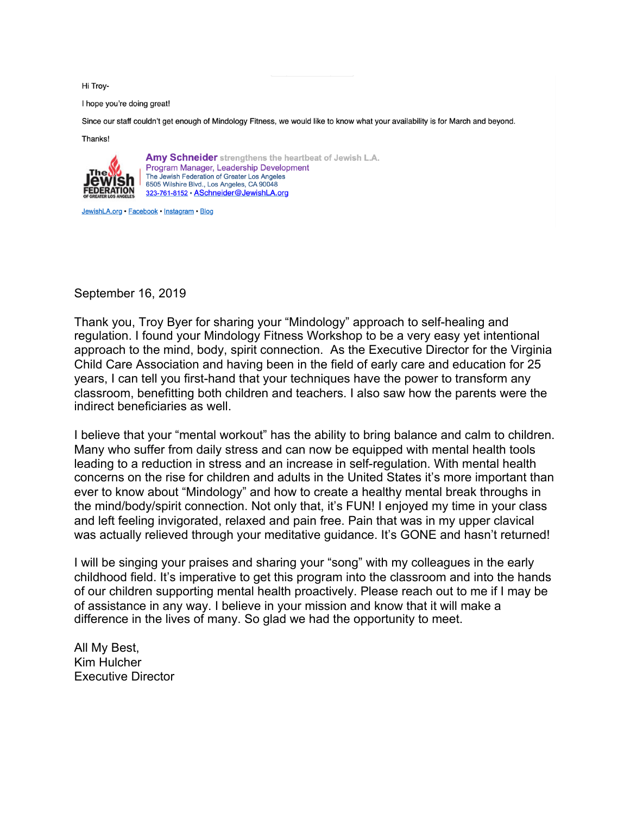Hi Troy-

I hope you're doing great!

Since our staff couldn't get enough of Mindology Fitness, we would like to know what your availability is for March and beyond.

Thanks!



Amy Schneider strengthens the heartbeat of Jewish L.A. Program Manager, Leadership Development The Jewish Federation of Greater Los Angeles 6505 Wilshire Blvd., Los Angeles, CA 90048 323-761-8152 · ASchneider@JewishLA.org

JewishLA.org · Facebook · Instagram · Blog

September 16, 2019

Thank you, Troy Byer for sharing your "Mindology" approach to self-healing and regulation. I found your Mindology Fitness Workshop to be a very easy yet intentional approach to the mind, body, spirit connection. As the Executive Director for the Virginia Child Care Association and having been in the field of early care and education for 25 years, I can tell you first-hand that your techniques have the power to transform any classroom, benefitting both children and teachers. I also saw how the parents were the indirect beneficiaries as well.

I believe that your "mental workout" has the ability to bring balance and calm to children. Many who suffer from daily stress and can now be equipped with mental health tools leading to a reduction in stress and an increase in self-regulation. With mental health concerns on the rise for children and adults in the United States it's more important than ever to know about "Mindology" and how to create a healthy mental break throughs in the mind/body/spirit connection. Not only that, it's FUN! I enjoyed my time in your class and left feeling invigorated, relaxed and pain free. Pain that was in my upper clavical was actually relieved through your meditative guidance. It's GONE and hasn't returned!

I will be singing your praises and sharing your "song" with my colleagues in the early childhood field. It's imperative to get this program into the classroom and into the hands of our children supporting mental health proactively. Please reach out to me if I may be of assistance in any way. I believe in your mission and know that it will make a difference in the lives of many. So glad we had the opportunity to meet.

All My Best, Kim Hulcher Executive Director